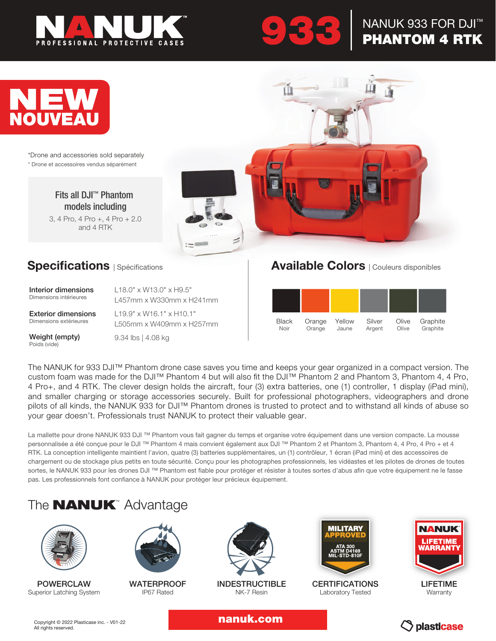

# 933

### NANUK 933 FOR DJI™ PHANTOM 4 RTK



\*Drone and accessories sold separately \* Drone et accessoires vendus séparément

> Fits all DJI™ Phantom models including

3, 4 Pro, 4 Pro +, 4 Pro + 2.0 and 4 RTK



### **Specifications** | Spécifications

| Interior dimensions        | $118.0''$ x W13.0" x H9.5"           |
|----------------------------|--------------------------------------|
| Dimensions intérieures     | 1457mm x W330mm x H241mm             |
| <b>Exterior dimensions</b> | $119.9" \times W16.1" \times H10.1"$ |
| Dimensions extérieures     | L505mm x W409mm x H257mm             |

Weight (empty) Poids (vide)

9.34 lbs | 4.08 kg

#### Available Colors | Couleurs disponibles



The NANUK for 933 DJI™ Phantom drone case saves you time and keeps your gear organized in a compact version. The custom foam was made for the DJI™ Phantom 4 but will also fit the DJI™ Phantom 2 and Phantom 3, Phantom 4, 4 Pro, 4 Pro+, and 4 RTK. The clever design holds the aircraft, four (3) extra batteries, one (1) controller, 1 display (iPad mini), and smaller charging or storage accessories securely. Built for professional photographers, videographers and drone pilots of all kinds, the NANUK 933 for DJI™ Phantom drones is trusted to protect and to withstand all kinds of abuse so your gear doesn't. Professionals trust NANUK to protect their valuable gear.

La mallette pour drone NANUK 933 DJI ™ Phantom vous fait gagner du temps et organise votre équipement dans une version compacte. La mousse personnalisée a été conçue pour le DJI™ Phantom 4 mais convient également aux DJI™ Phantom 2 et Phantom 3, Phantom 4, 4 Pro, 4 Pro + et 4 RTK. La conception intelligente maintient l'avion, quatre (3) batteries supplémentaires, un (1) contrôleur, 1 écran (iPad mini) et des accessoires de chargement ou de stockage plus petits en toute sécurité. Conçu pour les photographes professionnels, les vidéastes et les pilotes de drones de toutes sortes, le NANUK 933 pour les drones DJI™ Phantom est fiable pour protéger et résister à toutes sortes d'abus afin que votre équipement ne le fasse pas. Les professionnels font confiance à NANUK pour protéger leur précieux équipement.

## The **NANUK**<sup>™</sup> Advantage



POWERCLAW Superior Latching System



**WATERPROOF** IP67 Rated



INDESTRUCTIBLE NK-7 Resin



CERTIFICATIONS Laboratory Tested



LIFETIME **Warranty** 

nanuk.com